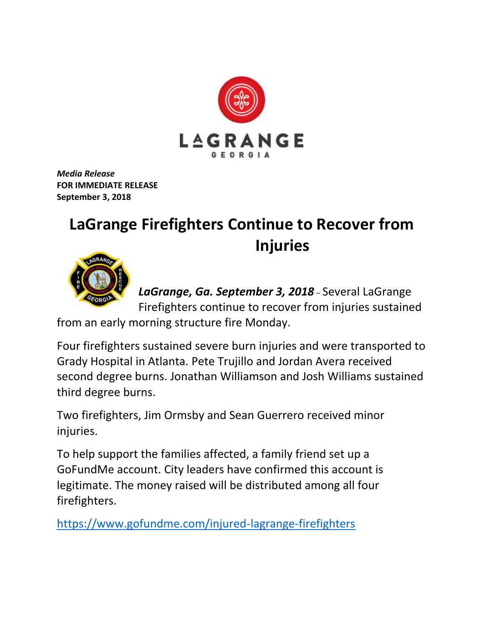

*Media Release* **FOR IMMEDIATE RELEASE September 3, 2018**

## **LaGrange Firefighters Continue to Recover from Injuries**



*LaGrange, Ga. September 3, 2018* – Several LaGrange Firefighters continue to recover from injuries sustained

from an early morning structure fire Monday.

Four firefighters sustained severe burn injuries and were transported to Grady Hospital in Atlanta. Pete Trujillo and Jordan Avera received second degree burns. Jonathan Williamson and Josh Williams sustained third degree burns.

Two firefighters, Jim Ormsby and Sean Guerrero received minor injuries.

To help support the families affected, a family friend set up a GoFundMe account. City leaders have confirmed this account is legitimate. The money raised will be distributed among all four firefighters.

<https://www.gofundme.com/injured-lagrange-firefighters>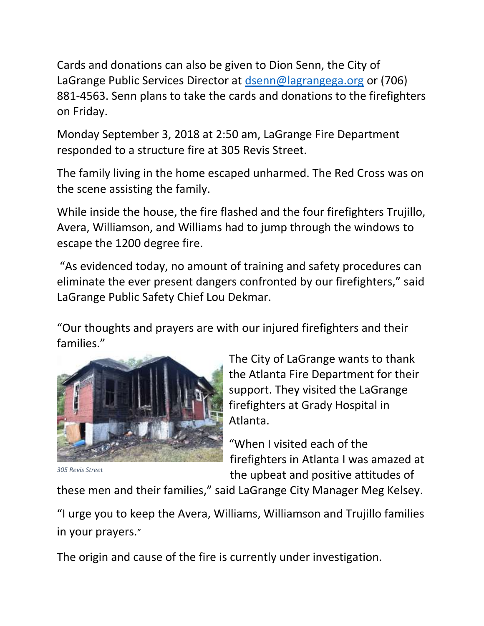Cards and donations can also be given to Dion Senn, the City of LaGrange Public Services Director at [dsenn@lagrangega.org](mailto:dsenn@lagrangega.org) or (706) 881-4563. Senn plans to take the cards and donations to the firefighters on Friday.

Monday September 3, 2018 at 2:50 am, LaGrange Fire Department responded to a structure fire at 305 Revis Street.

The family living in the home escaped unharmed. The Red Cross was on the scene assisting the family.

While inside the house, the fire flashed and the four firefighters Trujillo, Avera, Williamson, and Williams had to jump through the windows to escape the 1200 degree fire.

"As evidenced today, no amount of training and safety procedures can eliminate the ever present dangers confronted by our firefighters," said LaGrange Public Safety Chief Lou Dekmar.

"Our thoughts and prayers are with our injured firefighters and their families."



The City of LaGrange wants to thank the Atlanta Fire Department for their support. They visited the LaGrange firefighters at Grady Hospital in Atlanta.

"When I visited each of the firefighters in Atlanta I was amazed at the upbeat and positive attitudes of

*305 Revis Street*

these men and their families," said LaGrange City Manager Meg Kelsey.

"I urge you to keep the Avera, Williams, Williamson and Trujillo families in your prayers."

The origin and cause of the fire is currently under investigation.